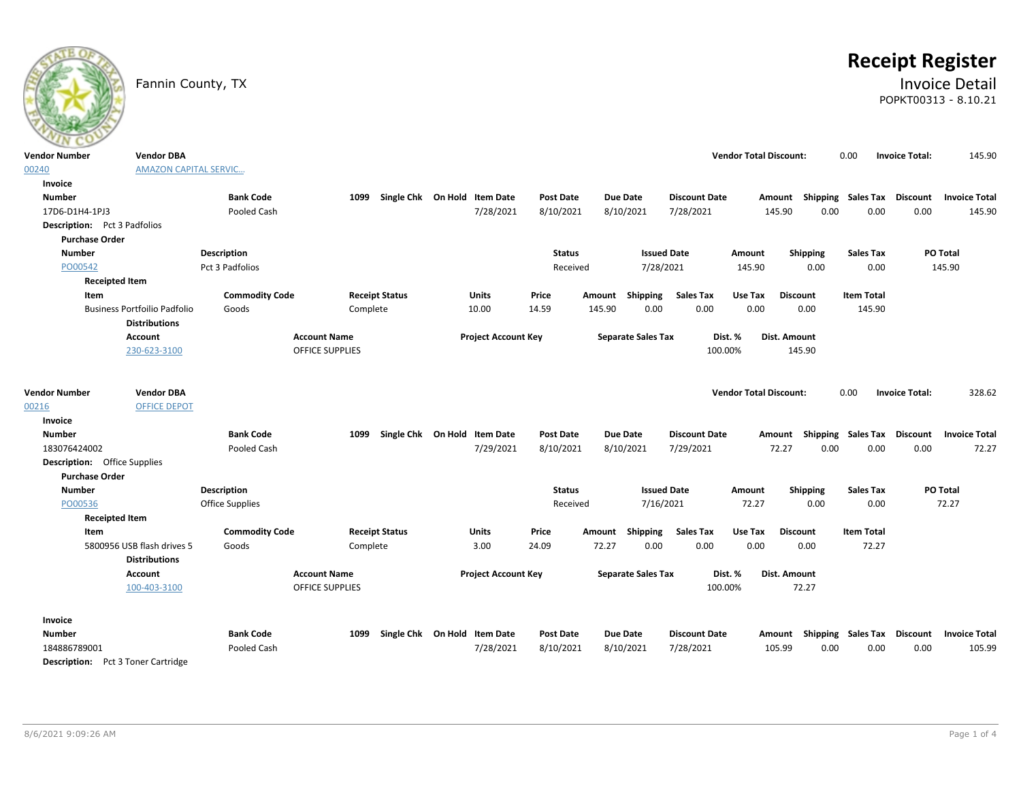# **Receipt Register**

## Fannin County, TX **Invoice Detail** POPKT00313 - 8.10.21

| <b>Vendor Number</b>                            | <b>Vendor DBA</b>                                           |                       |                        |                       |                                   |               |                           |                      | <b>Vendor Total Discount:</b> |                                    | 0.00              | <b>Invoice Total:</b> | 145.90                                           |
|-------------------------------------------------|-------------------------------------------------------------|-----------------------|------------------------|-----------------------|-----------------------------------|---------------|---------------------------|----------------------|-------------------------------|------------------------------------|-------------------|-----------------------|--------------------------------------------------|
| 00240                                           | <b>AMAZON CAPITAL SERVIC</b>                                |                       |                        |                       |                                   |               |                           |                      |                               |                                    |                   |                       |                                                  |
| <b>Invoice</b>                                  |                                                             |                       |                        |                       |                                   |               |                           |                      |                               |                                    |                   |                       |                                                  |
| <b>Number</b>                                   |                                                             | <b>Bank Code</b>      |                        |                       | 1099 Single Chk On Hold Item Date | Post Date     | <b>Due Date</b>           | <b>Discount Date</b> |                               |                                    |                   |                       | Amount Shipping Sales Tax Discount Invoice Total |
| 17D6-D1H4-1PJ3                                  |                                                             | Pooled Cash           |                        |                       | 7/28/2021                         | 8/10/2021     | 8/10/2021                 | 7/28/2021            | 145.90                        | 0.00                               | 0.00              | 0.00                  | 145.90                                           |
| <b>Description:</b> Pct 3 Padfolios             |                                                             |                       |                        |                       |                                   |               |                           |                      |                               |                                    |                   |                       |                                                  |
| <b>Purchase Order</b>                           |                                                             |                       |                        |                       |                                   |               |                           |                      |                               |                                    |                   |                       |                                                  |
| <b>Number</b>                                   |                                                             | Description           |                        |                       |                                   | <b>Status</b> |                           | <b>Issued Date</b>   | Amount                        | Shipping                           | <b>Sales Tax</b>  |                       | PO Total                                         |
| PO00542                                         |                                                             | Pct 3 Padfolios       |                        |                       |                                   | Received      |                           | 7/28/2021            | 145.90                        | 0.00                               | 0.00              |                       | 145.90                                           |
| <b>Receipted Item</b>                           |                                                             |                       |                        |                       |                                   |               |                           |                      |                               |                                    |                   |                       |                                                  |
| Item                                            |                                                             | <b>Commodity Code</b> |                        | <b>Receipt Status</b> | <b>Units</b>                      | Price         | Amount Shipping           | <b>Sales Tax</b>     | Use Tax                       | <b>Discount</b>                    | <b>Item Total</b> |                       |                                                  |
|                                                 | <b>Business Portfoilio Padfolio</b><br><b>Distributions</b> | Goods                 | Complete               |                       | 10.00                             | 14.59         | 145.90<br>0.00            | 0.00                 | 0.00                          | 0.00                               | 145.90            |                       |                                                  |
|                                                 | Account                                                     |                       | <b>Account Name</b>    |                       | <b>Project Account Key</b>        |               | <b>Separate Sales Tax</b> | Dist. %              |                               | Dist. Amount                       |                   |                       |                                                  |
|                                                 | 230-623-3100                                                |                       | OFFICE SUPPLIES        |                       |                                   |               |                           | 100.00%              |                               | 145.90                             |                   |                       |                                                  |
| <b>Vendor Number</b><br>00216<br><b>Invoice</b> | <b>Vendor DBA</b><br><b>OFFICE DEPOT</b>                    |                       |                        |                       |                                   |               |                           |                      | <b>Vendor Total Discount:</b> |                                    | 0.00              | <b>Invoice Total:</b> | 328.62                                           |
| <b>Number</b>                                   |                                                             | <b>Bank Code</b>      |                        |                       | 1099 Single Chk On Hold Item Date | Post Date     | <b>Due Date</b>           | <b>Discount Date</b> |                               | Amount Shipping Sales Tax Discount |                   |                       | <b>Invoice Total</b>                             |
| 183076424002                                    |                                                             | Pooled Cash           |                        |                       | 7/29/2021                         | 8/10/2021     | 8/10/2021                 | 7/29/2021            | 72.27                         | 0.00                               | 0.00              | 0.00                  | 72.27                                            |
| <b>Description:</b> Office Supplies             |                                                             |                       |                        |                       |                                   |               |                           |                      |                               |                                    |                   |                       |                                                  |
| <b>Purchase Order</b>                           |                                                             |                       |                        |                       |                                   |               |                           |                      |                               |                                    |                   |                       |                                                  |
| <b>Number</b>                                   |                                                             | <b>Description</b>    |                        |                       |                                   | <b>Status</b> |                           | <b>Issued Date</b>   | Amount                        | Shipping                           | <b>Sales Tax</b>  |                       | PO Total                                         |
| PO00536                                         |                                                             | Office Supplies       |                        |                       |                                   | Received      |                           | 7/16/2021            | 72.27                         | 0.00                               | 0.00              |                       | 72.27                                            |
| <b>Receipted Item</b>                           |                                                             |                       |                        |                       |                                   |               |                           |                      |                               |                                    |                   |                       |                                                  |
| Item                                            |                                                             | <b>Commodity Code</b> |                        | <b>Receipt Status</b> | Units                             | Price         | Amount Shipping           | <b>Sales Tax</b>     | Use Tax                       | <b>Discount</b>                    | <b>Item Total</b> |                       |                                                  |
|                                                 | 5800956 USB flash drives 5                                  | Goods                 | Complete               |                       | 3.00                              | 24.09         | 0.00<br>72.27             | 0.00                 | 0.00                          | 0.00                               | 72.27             |                       |                                                  |
|                                                 | <b>Distributions</b>                                        |                       |                        |                       |                                   |               |                           |                      |                               |                                    |                   |                       |                                                  |
|                                                 | Account                                                     |                       | <b>Account Name</b>    |                       | <b>Project Account Key</b>        |               | <b>Separate Sales Tax</b> | Dist. %              |                               | Dist. Amount                       |                   |                       |                                                  |
|                                                 | 100-403-3100                                                |                       | <b>OFFICE SUPPLIES</b> |                       |                                   |               |                           | 100.00%              |                               | 72.27                              |                   |                       |                                                  |
| <b>Invoice</b>                                  |                                                             |                       |                        |                       |                                   |               |                           |                      |                               |                                    |                   |                       |                                                  |
| <b>Number</b>                                   |                                                             | <b>Bank Code</b>      | 1099                   |                       | Single Chk On Hold Item Date      | Post Date     | Due Date                  | <b>Discount Date</b> |                               | Amount Shipping Sales Tax          |                   | Discount              | <b>Invoice Total</b>                             |
| 184886789001                                    |                                                             | Pooled Cash           |                        |                       | 7/28/2021                         | 8/10/2021     | 8/10/2021                 | 7/28/2021            | 105.99                        | 0.00                               | 0.00              | 0.00                  | 105.99                                           |
| <b>Description:</b> Pct 3 Toner Cartridge       |                                                             |                       |                        |                       |                                   |               |                           |                      |                               |                                    |                   |                       |                                                  |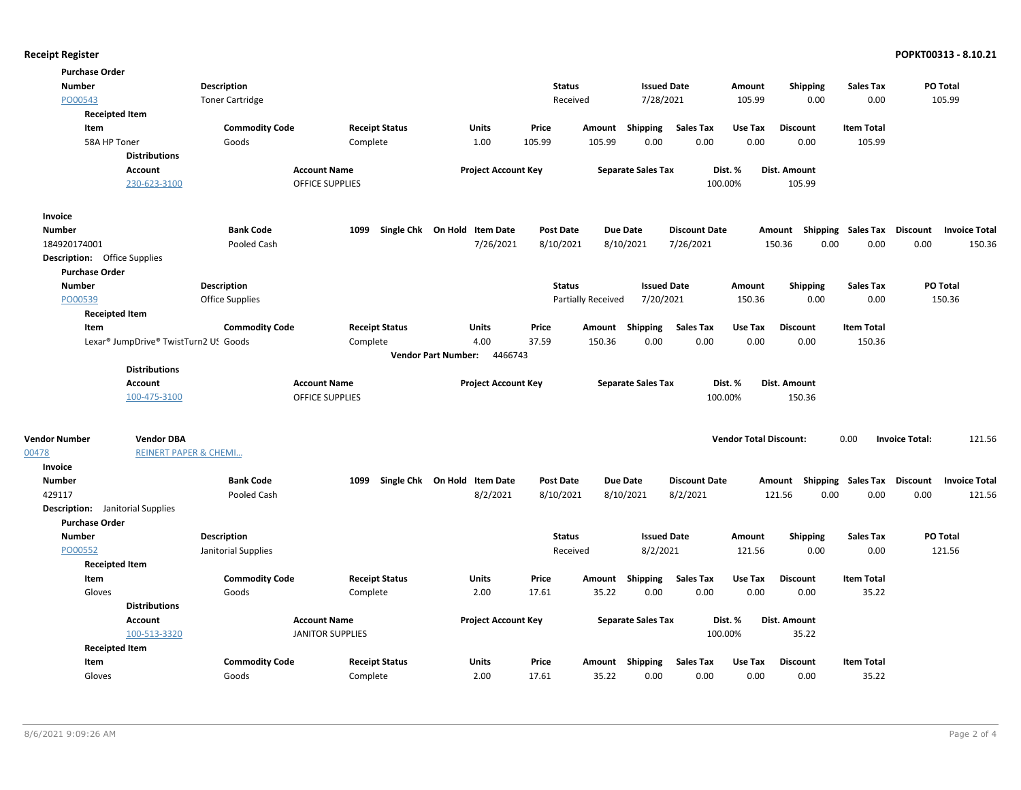| <b>Purchase Order</b>                   |                                       |                        |                         |                                       |                  |                    |                           |                      |                               |                    |                             |                                         |
|-----------------------------------------|---------------------------------------|------------------------|-------------------------|---------------------------------------|------------------|--------------------|---------------------------|----------------------|-------------------------------|--------------------|-----------------------------|-----------------------------------------|
| <b>Number</b>                           |                                       | <b>Description</b>     |                         |                                       | <b>Status</b>    |                    | <b>Issued Date</b>        |                      | Amount                        | <b>Shipping</b>    | <b>Sales Tax</b>            | PO Total                                |
| PO00543                                 |                                       | <b>Toner Cartridge</b> |                         |                                       | Received         |                    | 7/28/2021                 |                      | 105.99                        | 0.00               | 0.00                        | 105.99                                  |
| <b>Receipted Item</b>                   |                                       |                        |                         |                                       |                  |                    |                           |                      |                               |                    |                             |                                         |
| Item                                    |                                       | <b>Commodity Code</b>  | <b>Receipt Status</b>   | Units                                 | Price            |                    | Amount Shipping           | <b>Sales Tax</b>     | Use Tax                       | <b>Discount</b>    | <b>Item Total</b>           |                                         |
| 58A HP Toner                            |                                       | Goods                  | Complete                | 1.00                                  | 105.99           | 105.99             | 0.00                      | 0.00                 | 0.00                          | 0.00               | 105.99                      |                                         |
|                                         | <b>Distributions</b>                  |                        |                         |                                       |                  |                    |                           |                      |                               |                    |                             |                                         |
|                                         | Account                               |                        | <b>Account Name</b>     | <b>Project Account Key</b>            |                  |                    | <b>Separate Sales Tax</b> |                      | Dist. %                       | Dist. Amount       |                             |                                         |
|                                         | 230-623-3100                          |                        | <b>OFFICE SUPPLIES</b>  |                                       |                  |                    |                           |                      | 100.00%                       | 105.99             |                             |                                         |
| Invoice                                 |                                       |                        |                         |                                       |                  |                    |                           |                      |                               |                    |                             |                                         |
| <b>Number</b>                           |                                       | <b>Bank Code</b>       | 1099                    | Single Chk On Hold Item Date          | <b>Post Date</b> |                    | <b>Due Date</b>           | <b>Discount Date</b> |                               | Amount             | Shipping Sales Tax Discount | <b>Invoice Total</b>                    |
| 184920174001                            |                                       | Pooled Cash            |                         | 7/26/2021                             | 8/10/2021        |                    | 8/10/2021                 | 7/26/2021            |                               | 150.36<br>0.00     | 0.00                        | 0.00<br>150.36                          |
| <b>Description:</b> Office Supplies     |                                       |                        |                         |                                       |                  |                    |                           |                      |                               |                    |                             |                                         |
| <b>Purchase Order</b>                   |                                       |                        |                         |                                       |                  |                    |                           |                      |                               |                    |                             |                                         |
| <b>Number</b>                           |                                       | <b>Description</b>     |                         |                                       | <b>Status</b>    |                    | <b>Issued Date</b>        |                      | Amount                        | <b>Shipping</b>    | <b>Sales Tax</b>            | PO Total                                |
| PO00539                                 |                                       | <b>Office Supplies</b> |                         |                                       |                  | Partially Received | 7/20/2021                 |                      | 150.36                        | 0.00               | 0.00                        | 150.36                                  |
| <b>Receipted Item</b>                   |                                       |                        |                         |                                       |                  |                    |                           |                      |                               |                    |                             |                                         |
| Item                                    |                                       | <b>Commodity Code</b>  | <b>Receipt Status</b>   | Units                                 | Price            |                    | Amount Shipping           | <b>Sales Tax</b>     | Use Tax                       | <b>Discount</b>    | <b>Item Total</b>           |                                         |
|                                         | Lexar® JumpDrive® TwistTurn2 US Goods |                        | Complete                | 4.00                                  | 37.59            | 150.36             | 0.00                      | 0.00                 | 0.00                          | 0.00               | 150.36                      |                                         |
|                                         |                                       |                        |                         | 4466743<br><b>Vendor Part Number:</b> |                  |                    |                           |                      |                               |                    |                             |                                         |
|                                         | <b>Distributions</b>                  |                        |                         |                                       |                  |                    |                           |                      |                               |                    |                             |                                         |
|                                         | <b>Account</b>                        |                        | <b>Account Name</b>     | <b>Project Account Key</b>            |                  |                    | <b>Separate Sales Tax</b> |                      | Dist. %                       | Dist. Amount       |                             |                                         |
|                                         | 100-475-3100                          |                        | <b>OFFICE SUPPLIES</b>  |                                       |                  |                    |                           |                      | 100.00%                       | 150.36             |                             |                                         |
|                                         |                                       |                        |                         |                                       |                  |                    |                           |                      |                               |                    |                             |                                         |
| <b>Vendor Number</b>                    | <b>Vendor DBA</b>                     |                        |                         |                                       |                  |                    |                           |                      | <b>Vendor Total Discount:</b> |                    | 0.00                        | 121.56<br><b>Invoice Total:</b>         |
| 00478                                   | <b>REINERT PAPER &amp; CHEMI</b>      |                        |                         |                                       |                  |                    |                           |                      |                               |                    |                             |                                         |
| Invoice                                 |                                       |                        |                         |                                       |                  |                    |                           |                      |                               |                    |                             |                                         |
| <b>Number</b>                           |                                       | <b>Bank Code</b>       | 1099                    | Single Chk On Hold Item Date          | <b>Post Date</b> |                    | Due Date                  | <b>Discount Date</b> |                               | Shipping<br>Amount | <b>Sales Tax</b>            | <b>Discount</b><br><b>Invoice Total</b> |
| 429117                                  |                                       | Pooled Cash            |                         | 8/2/2021                              | 8/10/2021        |                    | 8/10/2021                 | 8/2/2021             |                               | 0.00<br>121.56     | 0.00                        | 0.00<br>121.56                          |
| <b>Description:</b> Janitorial Supplies |                                       |                        |                         |                                       |                  |                    |                           |                      |                               |                    |                             |                                         |
| <b>Purchase Order</b>                   |                                       |                        |                         |                                       |                  |                    |                           |                      |                               |                    |                             |                                         |
| <b>Number</b>                           |                                       | <b>Description</b>     |                         |                                       | <b>Status</b>    |                    | <b>Issued Date</b>        |                      | Amount                        | <b>Shipping</b>    | <b>Sales Tax</b>            | PO Total                                |
| PO00552                                 |                                       | Janitorial Supplies    |                         |                                       | Received         |                    | 8/2/2021                  |                      | 121.56                        | 0.00               | 0.00                        | 121.56                                  |
| <b>Receipted Item</b>                   |                                       |                        |                         |                                       |                  |                    |                           |                      |                               |                    |                             |                                         |
| Item                                    |                                       | <b>Commodity Code</b>  | <b>Receipt Status</b>   | Units                                 | Price            | Amount             | <b>Shipping</b>           | <b>Sales Tax</b>     | Use Tax                       | <b>Discount</b>    | <b>Item Total</b>           |                                         |
| Gloves                                  |                                       | Goods                  | Complete                | 2.00                                  | 17.61            | 35.22              | 0.00                      | 0.00                 | 0.00                          | 0.00               | 35.22                       |                                         |
|                                         | <b>Distributions</b>                  |                        |                         |                                       |                  |                    |                           |                      |                               |                    |                             |                                         |
|                                         | <b>Account</b>                        |                        | <b>Account Name</b>     | <b>Project Account Key</b>            |                  |                    | <b>Separate Sales Tax</b> |                      | Dist. %                       | Dist. Amount       |                             |                                         |
|                                         | 100-513-3320                          |                        | <b>JANITOR SUPPLIES</b> |                                       |                  |                    |                           |                      | 100.00%                       | 35.22              |                             |                                         |
| <b>Receipted Item</b>                   |                                       |                        |                         |                                       |                  |                    |                           |                      |                               |                    |                             |                                         |
| Item                                    |                                       | <b>Commodity Code</b>  | <b>Receipt Status</b>   | Units                                 | Price            |                    | Amount Shipping           | <b>Sales Tax</b>     | Use Tax                       | <b>Discount</b>    | <b>Item Total</b>           |                                         |
| Gloves                                  |                                       | Goods                  | Complete                | 2.00                                  | 17.61            | 35.22              | 0.00                      | 0.00                 | 0.00                          | 0.00               | 35.22                       |                                         |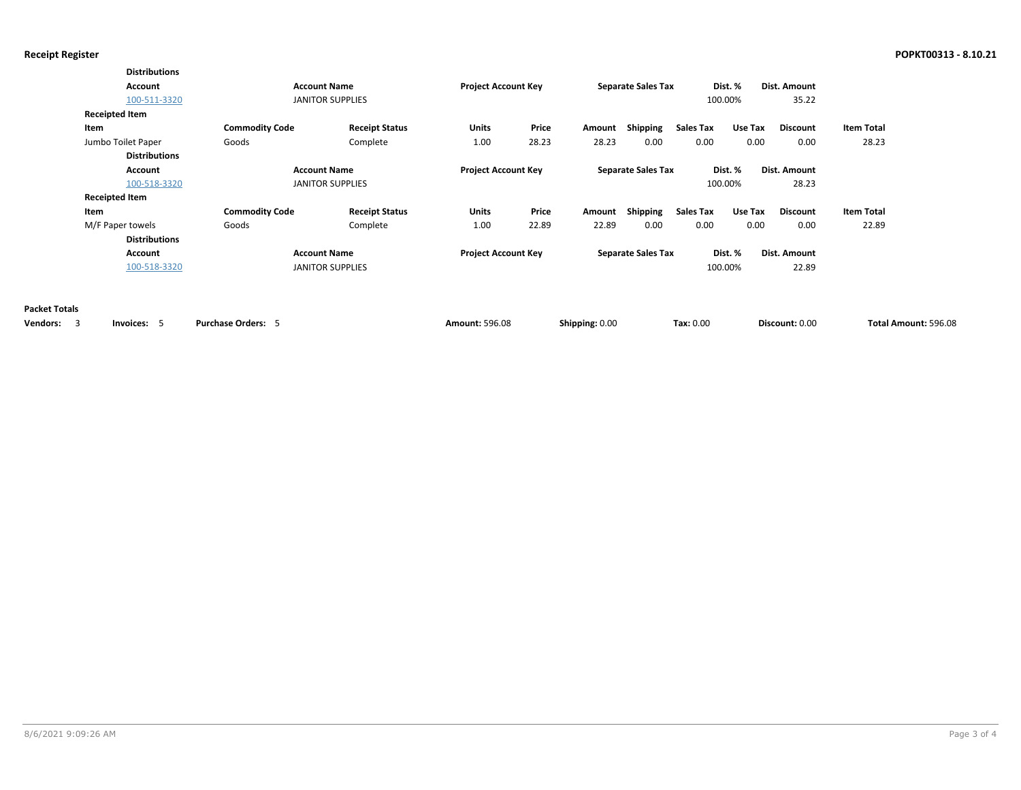|                      | <b>Distributions</b>  |                           |                         |                            |       |                |                           |                  |         |                 |                      |  |
|----------------------|-----------------------|---------------------------|-------------------------|----------------------------|-------|----------------|---------------------------|------------------|---------|-----------------|----------------------|--|
|                      | Account               | <b>Account Name</b>       |                         | <b>Project Account Key</b> |       |                | <b>Separate Sales Tax</b> |                  | Dist. % | Dist. Amount    |                      |  |
|                      | 100-511-3320          |                           | <b>JANITOR SUPPLIES</b> |                            |       |                |                           |                  | 100.00% | 35.22           |                      |  |
|                      | <b>Receipted Item</b> |                           |                         |                            |       |                |                           |                  |         |                 |                      |  |
|                      | Item                  | <b>Commodity Code</b>     | <b>Receipt Status</b>   | Units                      | Price | Amount         | Shipping                  | <b>Sales Tax</b> | Use Tax | <b>Discount</b> | <b>Item Total</b>    |  |
|                      | Jumbo Toilet Paper    | Goods                     | Complete                | 1.00                       | 28.23 | 28.23          | 0.00                      | 0.00             | 0.00    | 0.00            | 28.23                |  |
|                      | <b>Distributions</b>  |                           |                         |                            |       |                |                           |                  |         |                 |                      |  |
|                      | Account               | <b>Account Name</b>       |                         | <b>Project Account Key</b> |       |                | <b>Separate Sales Tax</b> |                  | Dist. % | Dist. Amount    |                      |  |
|                      | 100-518-3320          |                           | <b>JANITOR SUPPLIES</b> |                            |       |                |                           |                  | 100.00% | 28.23           |                      |  |
|                      | <b>Receipted Item</b> |                           |                         |                            |       |                |                           |                  |         |                 |                      |  |
|                      | Item                  | <b>Commodity Code</b>     | <b>Receipt Status</b>   | Units                      | Price | Amount         | Shipping                  | <b>Sales Tax</b> | Use Tax | <b>Discount</b> | <b>Item Total</b>    |  |
|                      | M/F Paper towels      | Goods                     | Complete                | 1.00                       | 22.89 | 22.89          | 0.00                      | 0.00             | 0.00    | 0.00            | 22.89                |  |
|                      | <b>Distributions</b>  |                           |                         |                            |       |                |                           |                  |         |                 |                      |  |
|                      | Account               | <b>Account Name</b>       |                         | <b>Project Account Key</b> |       |                | <b>Separate Sales Tax</b> |                  | Dist. % | Dist. Amount    |                      |  |
|                      | 100-518-3320          |                           | <b>JANITOR SUPPLIES</b> |                            |       |                |                           |                  | 100.00% | 22.89           |                      |  |
|                      |                       |                           |                         |                            |       |                |                           |                  |         |                 |                      |  |
| <b>Packet Totals</b> |                       |                           |                         |                            |       |                |                           |                  |         |                 |                      |  |
| <b>Vendors:</b><br>3 | Invoices: 5           | <b>Purchase Orders: 5</b> |                         | <b>Amount: 596.08</b>      |       | Shipping: 0.00 |                           | Tax: 0.00        |         | Discount: 0.00  | Total Amount: 596.08 |  |